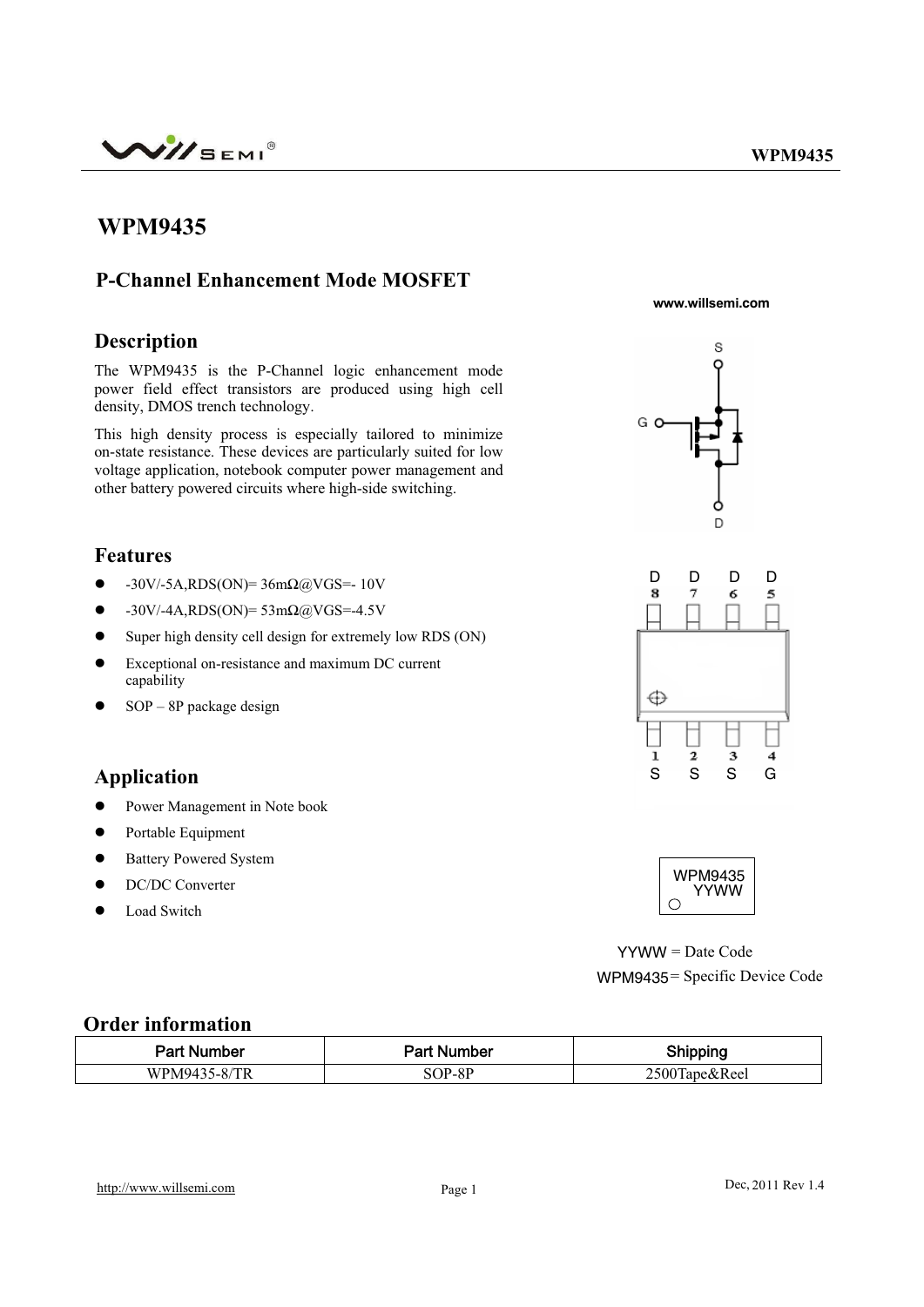

## **WPM9435**

#### **P-Channel Enhancement Mode MOSFET**

**Description** 

The WPM9435 is the P-Channel logic enhancement mode power field effect transistors are produced using high cell density, DMOS trench technology.

This high density process is especially tailored to minimize on-state resistance. These devices are particularly suited for low voltage application, notebook computer power management and other battery powered circuits where high-side switching.

#### **Features**

- $\bullet$  -30V/-5A,RDS(ON)= 36m $\Omega$ @VGS=- 10V
- $\bullet$  -30V/-4A,RDS(ON)= 53m $\Omega$ @VGS=-4.5V
- Super high density cell design for extremely low RDS (ON)
- Exceptional on-resistance and maximum DC current capability
- $SOP 8P$  package design

## **Application**

- Power Management in Note book
- Portable Equipment
- Battery Powered System
- DC/DC Converter
- Load Switch

**www.willsemi.com**







 $YYWW = Date Code$ WPM9435 = Specific Device Code

#### **Order information**

| Part Number  | <b>Part Number</b> | Shipping      |
|--------------|--------------------|---------------|
| WPM9435-8/TR | SOP-8P             | 2500Tape&Reel |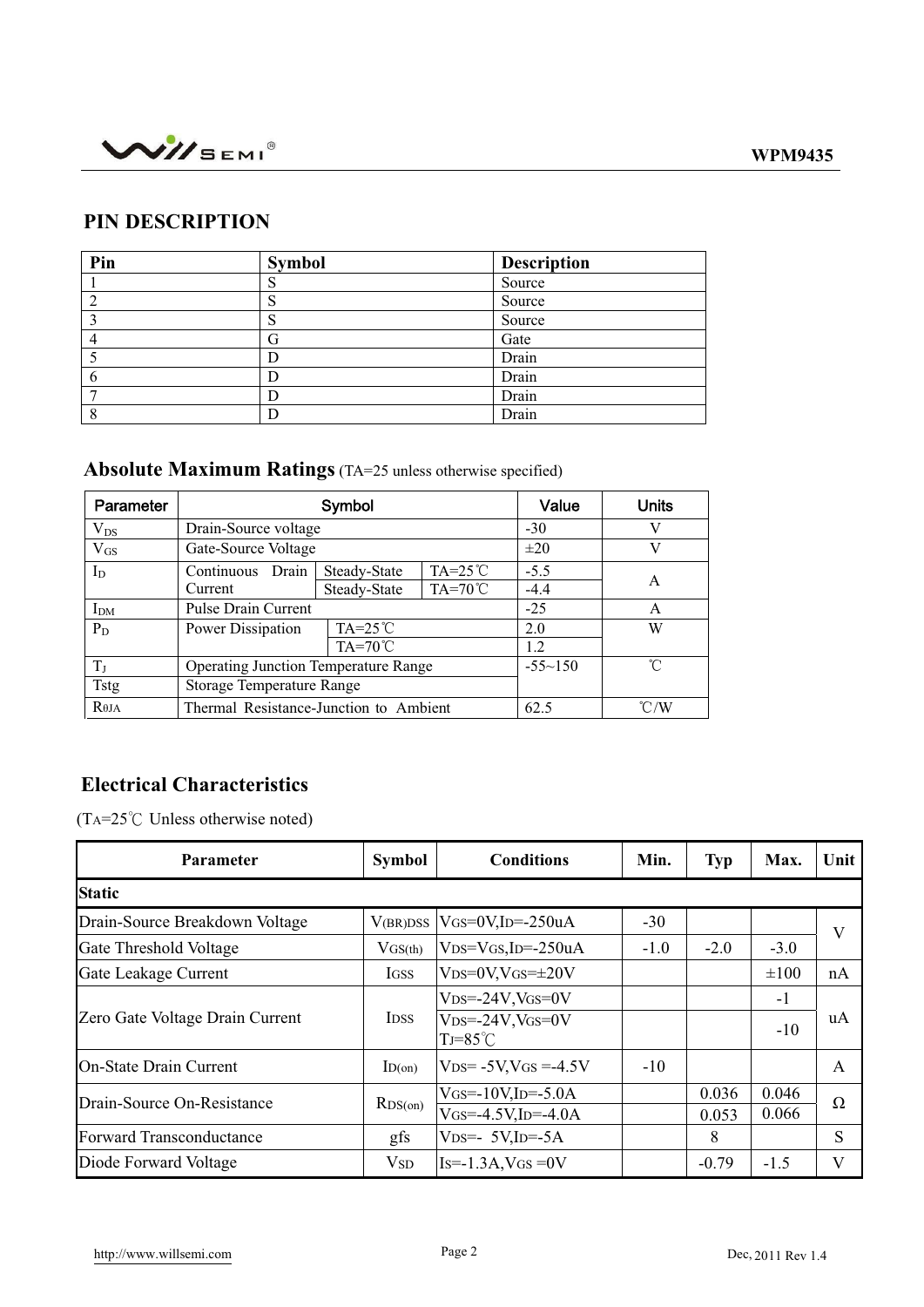



## **PIN DESCRIPTION**

| Pin | <b>Symbol</b> | <b>Description</b> |
|-----|---------------|--------------------|
|     | c<br>C        | Source             |
| C   | S             | Source             |
| 3   | S             | Source             |
|     | G             | Gate               |
|     |               | Drain              |
| 6   |               | Drain              |
|     |               | Drain              |
| 8   |               | Drain              |

# **Absolute Maximum Ratings** (TA=25 unless otherwise specified)

| Parameter        | Symbol                                      |                  |                  | Value       | <b>Units</b>  |
|------------------|---------------------------------------------|------------------|------------------|-------------|---------------|
| $\rm V_{DS}$     | Drain-Source voltage                        |                  |                  | $-30$       | V             |
| $V_{GS}$         | Gate-Source Voltage                         |                  |                  | $\pm 20$    | V             |
| $I_D$            | Drain<br>Continuous                         | Steady-State     | $TA=25^{\circ}C$ | $-5.5$      |               |
|                  | Current                                     | Steady-State     | $TA=70^{\circ}C$ | $-4.4$      | A             |
| $I_{DM}$         | <b>Pulse Drain Current</b>                  |                  |                  | $-25$       | A             |
| $P_D$            | Power Dissipation                           | $TA=25^{\circ}C$ |                  | 2.0         | W             |
|                  |                                             | 1.2              |                  |             |               |
| $T_{\rm J}$      | <b>Operating Junction Temperature Range</b> |                  |                  | $-55 - 150$ | ิ่∩°          |
| <b>Tstg</b>      | <b>Storage Temperature Range</b>            |                  |                  |             |               |
| R <sub>0JA</sub> | Thermal Resistance-Junction to Ambient      |                  |                  | 62.5        | $\degree$ C/W |

## **Electrical Characteristics**

(TA= $25^{\circ}$ C Unless otherwise noted)

| Parameter                       | <b>Symbol</b> | <b>Conditions</b>                               | Min.   | <b>Typ</b> | Max.      | Unit     |
|---------------------------------|---------------|-------------------------------------------------|--------|------------|-----------|----------|
| <b>Static</b>                   |               |                                                 |        |            |           |          |
| Drain-Source Breakdown Voltage  | V(BR)DSS      | $V$ GS=0V,ID=-250uA                             | $-30$  |            |           | V        |
| Gate Threshold Voltage          | VGS(th)       | $VDS=VGS$ , ID=-250uA                           | $-1.0$ | $-2.0$     | $-3.0$    |          |
| Gate Leakage Current            | <b>IGSS</b>   | $VDS=0V$ , $VGS=\pm 20V$                        |        |            | $\pm 100$ | nA       |
|                                 | <b>IDSS</b>   | $V_{DS} = -24V$ , $V_{GS} = 0V$                 |        |            | $-1$      | uA       |
| Zero Gate Voltage Drain Current |               | $VDS = -24V$ , $VGS = 0V$<br>$TJ = 85^{\circ}C$ |        |            | $-10$     |          |
| <b>On-State Drain Current</b>   | ID(on)        | $VDS = -5V$ , $VGS = -4.5V$                     | $-10$  |            |           | A        |
| Drain-Source On-Resistance      | RDS(0n)       | $V$ GS=-10V,ID=-5.0A                            |        | 0.036      | 0.046     | $\Omega$ |
|                                 |               | $V$ GS=-4.5V,ID=-4.0A                           |        | 0.053      | 0.066     |          |
| Forward Transconductance        | gfs           | $VDS=-5V$ , ID=-5A                              |        | 8          |           | S        |
| Diode Forward Voltage           | $V_{SD}$      | $Is=1.3A$ , VGS = 0 V                           |        | $-0.79$    | $-1.5$    | V        |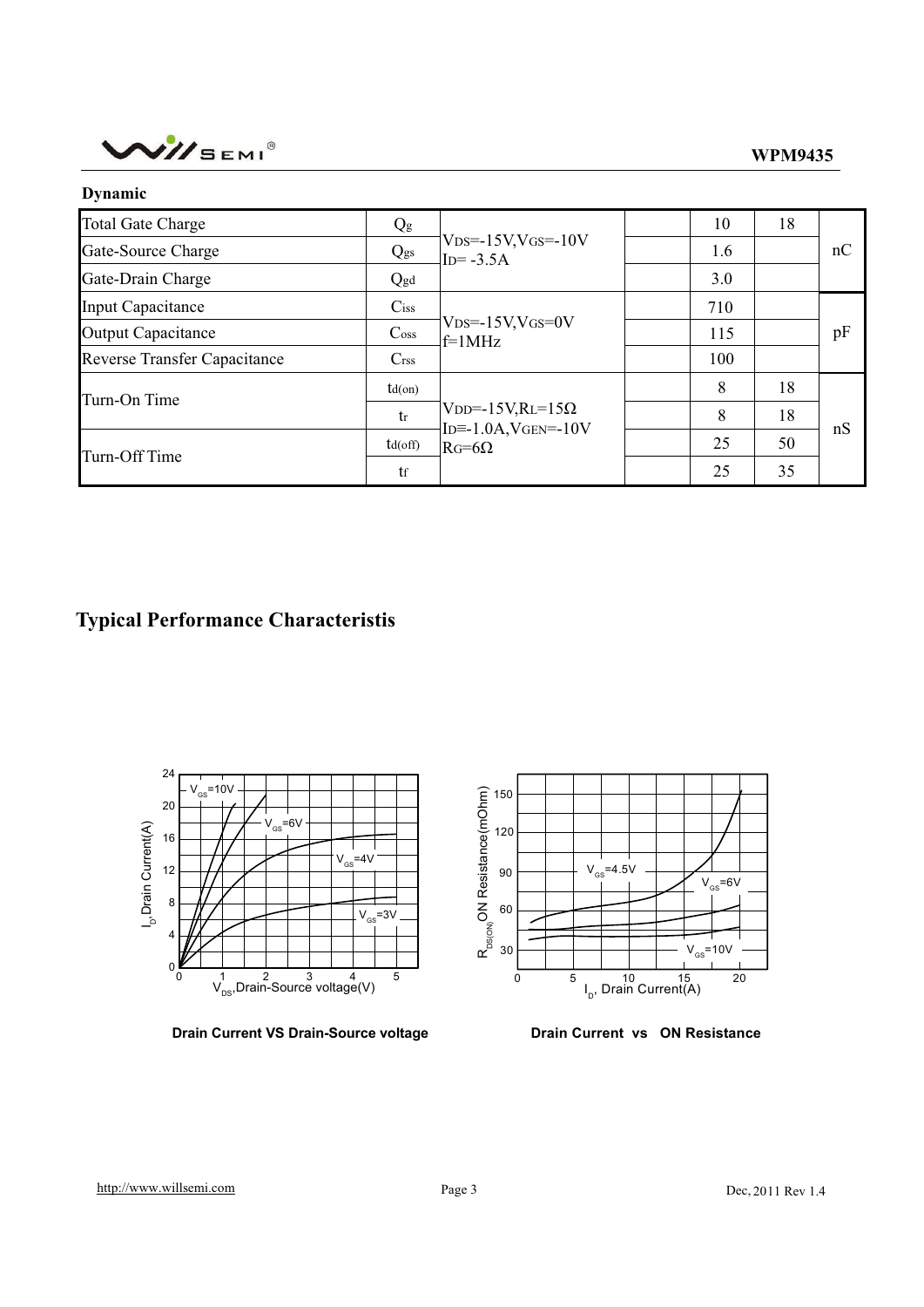

| Dynamic                             |                             |                                                                             |     |    |    |
|-------------------------------------|-----------------------------|-----------------------------------------------------------------------------|-----|----|----|
| <b>Total Gate Charge</b>            | $Q_g$                       | $V$ <sub>DS</sub> =-15V,V <sub>GS</sub> =-10V<br>$ID = -3.5A$               | 10  | 18 | nC |
| Gate-Source Charge                  | Qgs                         |                                                                             | 1.6 |    |    |
| Gate-Drain Charge                   | Qgd                         |                                                                             | 3.0 |    |    |
| Input Capacitance                   | $C$ iss                     | $V$ <sub>DS</sub> =-15V,V <sub>GS</sub> =0V<br>$f=1MHz$                     | 710 |    | pF |
| <b>Output Capacitance</b>           | $\mathrm{C}$ <sub>oss</sub> |                                                                             | 115 |    |    |
| <b>Reverse Transfer Capacitance</b> | C <sub>rss</sub>            |                                                                             | 100 |    |    |
| Turn-On Time                        | $td($ on $)$                | $VDD = -15V, RL = 15\Omega$<br>$ID = -1.0A$ , $VGEN = -10V$<br>$RG=6\Omega$ | 8   | 18 | nS |
|                                     | tr                          |                                                                             | 8   | 18 |    |
| Turn-Off Time                       | $td($ off $)$               |                                                                             | 25  | 50 |    |
|                                     | tf                          |                                                                             | 25  | 35 |    |

# **Typical Performance Characteristis**



**Drain Current VS Drain-Source voltage <b>Drain Current vs** ON Resistance

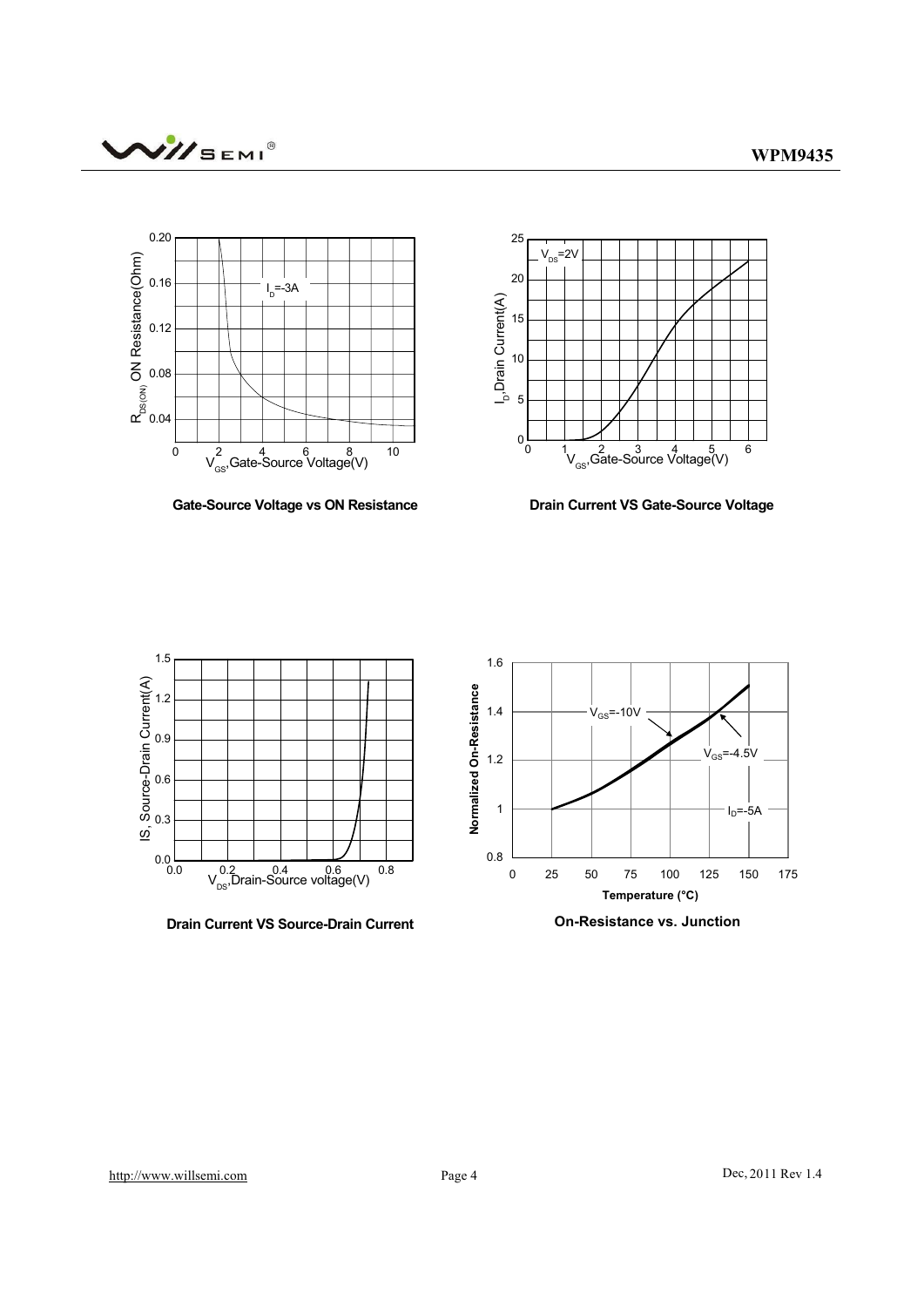



**Gate-Source Voltage vs ON Resistance**



**Drain Current VS Gate-Source Voltage**



**Drain Current VS Source-Drain Current**



**On-Resistance vs. Junction**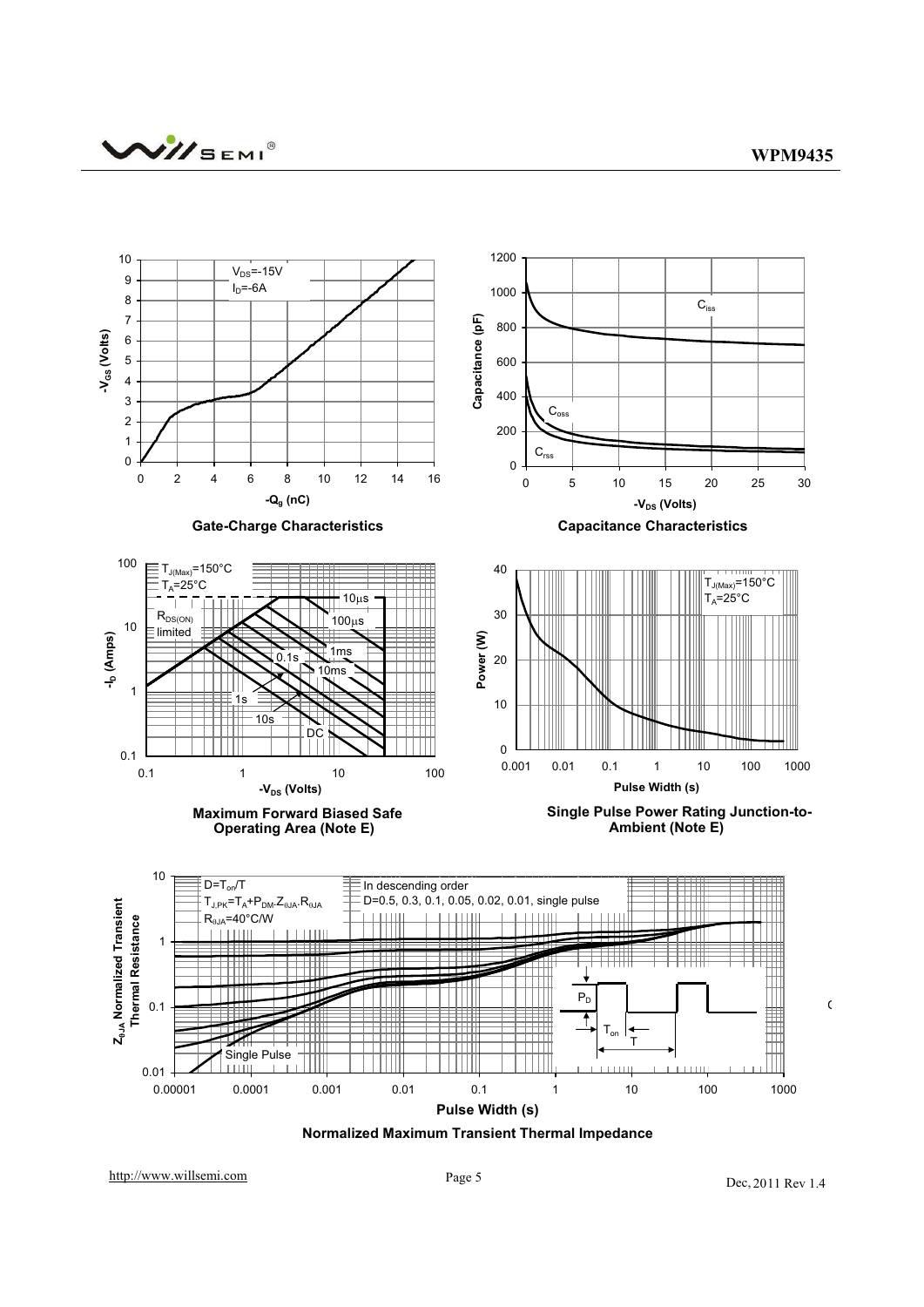

**Normalized Maximum Transient Thermal Impedance**

http://www.willsemi.com